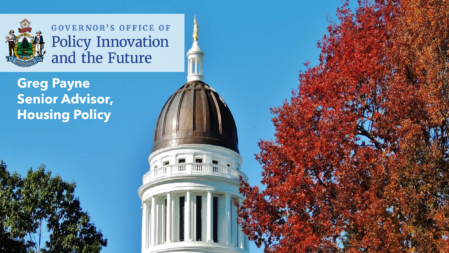

**GOVERNOR'S OFFICE OF** Policy Innovation<br>and the Future

**Greg Payne Senior Advisor, Housing Policy**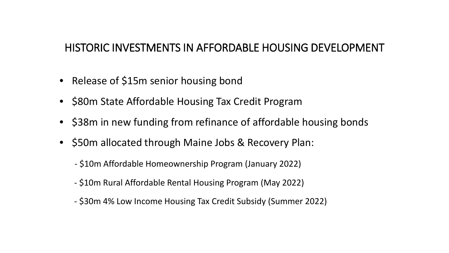### HISTORIC INVESTMENTS IN AFFORDABLE HOUSING DEVELOPMENT

- Release of \$15m senior housing bond
- \$80m State Affordable Housing Tax Credit Program
- \$38m in new funding from refinance of affordable housing bonds
- \$50m allocated through Maine Jobs & Recovery Plan:
	- \$10m Affordable Homeownership Program (January 2022)
	- \$10m Rural Affordable Rental Housing Program (May 2022)
	- \$30m 4% Low Income Housing Tax Credit Subsidy (Summer 2022)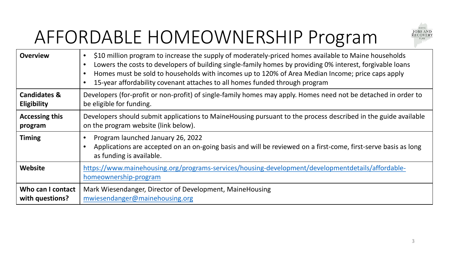## AFFORDABLE HOMEOWNERSHIP Program



| <b>Overview</b>                               | \$10 million program to increase the supply of moderately-priced homes available to Maine households<br>$\bullet$<br>Lowers the costs to developers of building single-family homes by providing 0% interest, forgivable loans<br>$\bullet$<br>Homes must be sold to households with incomes up to 120% of Area Median Income; price caps apply<br>$\bullet$<br>15-year affordability covenant attaches to all homes funded through program |
|-----------------------------------------------|---------------------------------------------------------------------------------------------------------------------------------------------------------------------------------------------------------------------------------------------------------------------------------------------------------------------------------------------------------------------------------------------------------------------------------------------|
| <b>Candidates &amp;</b><br><b>Eligibility</b> | Developers (for-profit or non-profit) of single-family homes may apply. Homes need not be detached in order to<br>be eligible for funding.                                                                                                                                                                                                                                                                                                  |
| <b>Accessing this</b><br>program              | Developers should submit applications to MaineHousing pursuant to the process described in the guide available<br>on the program website (link below).                                                                                                                                                                                                                                                                                      |
| <b>Timing</b>                                 | Program launched January 26, 2022<br>Applications are accepted on an on-going basis and will be reviewed on a first-come, first-serve basis as long<br>$\bullet$<br>as funding is available.                                                                                                                                                                                                                                                |
| Website                                       | https://www.mainehousing.org/programs-services/housing-development/developmentdetails/affordable-<br>homeownership-program                                                                                                                                                                                                                                                                                                                  |
| Who can I contact<br>with questions?          | Mark Wiesendanger, Director of Development, MaineHousing<br>mwiesendanger@mainehousing.org                                                                                                                                                                                                                                                                                                                                                  |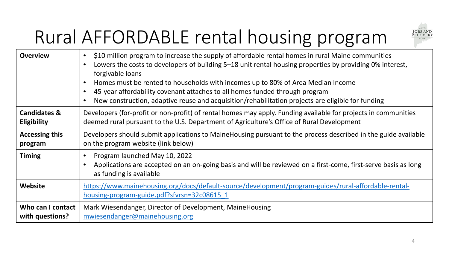#### **JOBS AND**<br>RECOVERY PLAN

# Rural AFFORDABLE rental housing program

| <b>Overview</b>         | \$10 million program to increase the supply of affordable rental homes in rural Maine communities<br>$\bullet$<br>Lowers the costs to developers of building 5–18 unit rental housing properties by providing 0% interest,<br>$\bullet$<br>forgivable loans<br>Homes must be rented to households with incomes up to 80% of Area Median Income<br>$\bullet$<br>45-year affordability covenant attaches to all homes funded through program<br>New construction, adaptive reuse and acquisition/rehabilitation projects are eligible for funding |
|-------------------------|-------------------------------------------------------------------------------------------------------------------------------------------------------------------------------------------------------------------------------------------------------------------------------------------------------------------------------------------------------------------------------------------------------------------------------------------------------------------------------------------------------------------------------------------------|
| <b>Candidates &amp;</b> | Developers (for-profit or non-profit) of rental homes may apply. Funding available for projects in communities                                                                                                                                                                                                                                                                                                                                                                                                                                  |
| <b>Eligibility</b>      | deemed rural pursuant to the U.S. Department of Agriculture's Office of Rural Development                                                                                                                                                                                                                                                                                                                                                                                                                                                       |
| <b>Accessing this</b>   | Developers should submit applications to MaineHousing pursuant to the process described in the guide available                                                                                                                                                                                                                                                                                                                                                                                                                                  |
| program                 | on the program website (link below)                                                                                                                                                                                                                                                                                                                                                                                                                                                                                                             |
| <b>Timing</b>           | Program launched May 10, 2022<br>$\bullet$<br>Applications are accepted on an on-going basis and will be reviewed on a first-come, first-serve basis as long<br>as funding is available                                                                                                                                                                                                                                                                                                                                                         |
| Website                 | https://www.mainehousing.org/docs/default-source/development/program-guides/rural-affordable-rental-<br>housing-program-guide.pdf?sfvrsn=32c08615 1                                                                                                                                                                                                                                                                                                                                                                                             |
| Who can I contact       | Mark Wiesendanger, Director of Development, MaineHousing                                                                                                                                                                                                                                                                                                                                                                                                                                                                                        |
| with questions?         | mwiesendanger@mainehousing.org                                                                                                                                                                                                                                                                                                                                                                                                                                                                                                                  |